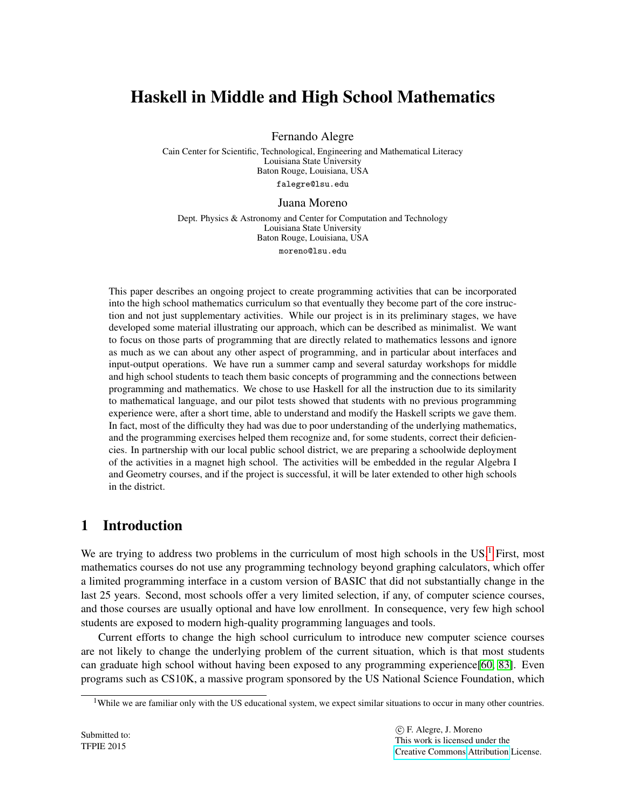# Haskell in Middle and High School Mathematics

Fernando Alegre

Cain Center for Scientific, Technological, Engineering and Mathematical Literacy Louisiana State University Baton Rouge, Louisiana, USA falegre@lsu.edu

Juana Moreno

Dept. Physics & Astronomy and Center for Computation and Technology Louisiana State University Baton Rouge, Louisiana, USA moreno@lsu.edu

This paper describes an ongoing project to create programming activities that can be incorporated into the high school mathematics curriculum so that eventually they become part of the core instruction and not just supplementary activities. While our project is in its preliminary stages, we have developed some material illustrating our approach, which can be described as minimalist. We want to focus on those parts of programming that are directly related to mathematics lessons and ignore as much as we can about any other aspect of programming, and in particular about interfaces and input-output operations. We have run a summer camp and several saturday workshops for middle and high school students to teach them basic concepts of programming and the connections between programming and mathematics. We chose to use Haskell for all the instruction due to its similarity to mathematical language, and our pilot tests showed that students with no previous programming experience were, after a short time, able to understand and modify the Haskell scripts we gave them. In fact, most of the difficulty they had was due to poor understanding of the underlying mathematics, and the programming exercises helped them recognize and, for some students, correct their deficiencies. In partnership with our local public school district, we are preparing a schoolwide deployment of the activities in a magnet high school. The activities will be embedded in the regular Algebra I and Geometry courses, and if the project is successful, it will be later extended to other high schools in the district.

## 1 Introduction

We are trying to address two problems in the curriculum of most high schools in the  $US<sup>1</sup>$  $US<sup>1</sup>$  $US<sup>1</sup>$  First, most mathematics courses do not use any programming technology beyond graphing calculators, which offer a limited programming interface in a custom version of BASIC that did not substantially change in the last 25 years. Second, most schools offer a very limited selection, if any, of computer science courses, and those courses are usually optional and have low enrollment. In consequence, very few high school students are exposed to modern high-quality programming languages and tools.

Current efforts to change the high school curriculum to introduce new computer science courses are not likely to change the underlying problem of the current situation, which is that most students can graduate high school without having been exposed to any programming experience[\[60,](#page-14-0) [83\]](#page-15-0). Even programs such as CS10K, a massive program sponsored by the US National Science Foundation, which

<span id="page-0-0"></span><sup>&</sup>lt;sup>1</sup>While we are familiar only with the US educational system, we expect similar situations to occur in many other countries.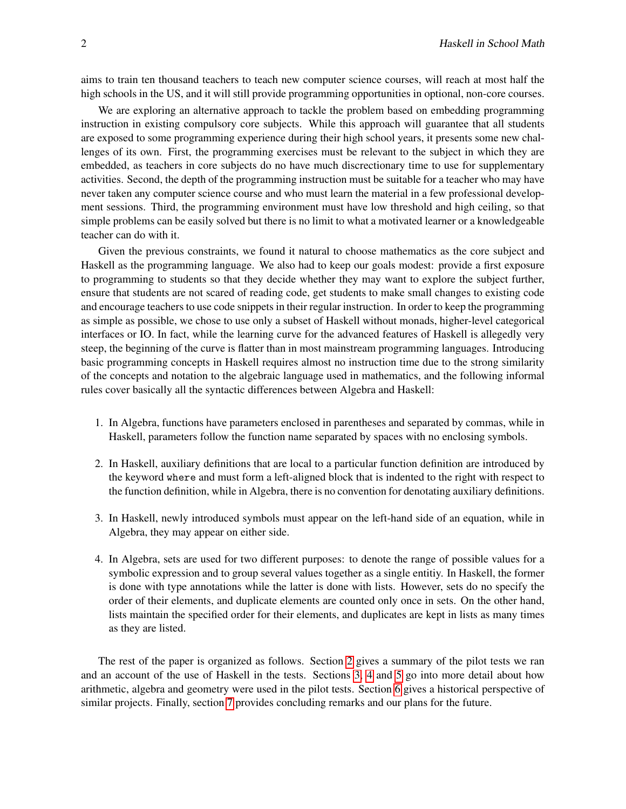aims to train ten thousand teachers to teach new computer science courses, will reach at most half the high schools in the US, and it will still provide programming opportunities in optional, non-core courses.

We are exploring an alternative approach to tackle the problem based on embedding programming instruction in existing compulsory core subjects. While this approach will guarantee that all students are exposed to some programming experience during their high school years, it presents some new challenges of its own. First, the programming exercises must be relevant to the subject in which they are embedded, as teachers in core subjects do no have much discrectionary time to use for supplementary activities. Second, the depth of the programming instruction must be suitable for a teacher who may have never taken any computer science course and who must learn the material in a few professional development sessions. Third, the programming environment must have low threshold and high ceiling, so that simple problems can be easily solved but there is no limit to what a motivated learner or a knowledgeable teacher can do with it.

Given the previous constraints, we found it natural to choose mathematics as the core subject and Haskell as the programming language. We also had to keep our goals modest: provide a first exposure to programming to students so that they decide whether they may want to explore the subject further, ensure that students are not scared of reading code, get students to make small changes to existing code and encourage teachers to use code snippets in their regular instruction. In order to keep the programming as simple as possible, we chose to use only a subset of Haskell without monads, higher-level categorical interfaces or IO. In fact, while the learning curve for the advanced features of Haskell is allegedly very steep, the beginning of the curve is flatter than in most mainstream programming languages. Introducing basic programming concepts in Haskell requires almost no instruction time due to the strong similarity of the concepts and notation to the algebraic language used in mathematics, and the following informal rules cover basically all the syntactic differences between Algebra and Haskell:

- 1. In Algebra, functions have parameters enclosed in parentheses and separated by commas, while in Haskell, parameters follow the function name separated by spaces with no enclosing symbols.
- 2. In Haskell, auxiliary definitions that are local to a particular function definition are introduced by the keyword where and must form a left-aligned block that is indented to the right with respect to the function definition, while in Algebra, there is no convention for denotating auxiliary definitions.
- 3. In Haskell, newly introduced symbols must appear on the left-hand side of an equation, while in Algebra, they may appear on either side.
- 4. In Algebra, sets are used for two different purposes: to denote the range of possible values for a symbolic expression and to group several values together as a single entitiy. In Haskell, the former is done with type annotations while the latter is done with lists. However, sets do no specify the order of their elements, and duplicate elements are counted only once in sets. On the other hand, lists maintain the specified order for their elements, and duplicates are kept in lists as many times as they are listed.

The rest of the paper is organized as follows. Section [2](#page-2-0) gives a summary of the pilot tests we ran and an account of the use of Haskell in the tests. Sections [3,](#page-3-0) [4](#page-4-0) and [5](#page-6-0) go into more detail about how arithmetic, algebra and geometry were used in the pilot tests. Section [6](#page-9-0) gives a historical perspective of similar projects. Finally, section [7](#page-10-0) provides concluding remarks and our plans for the future.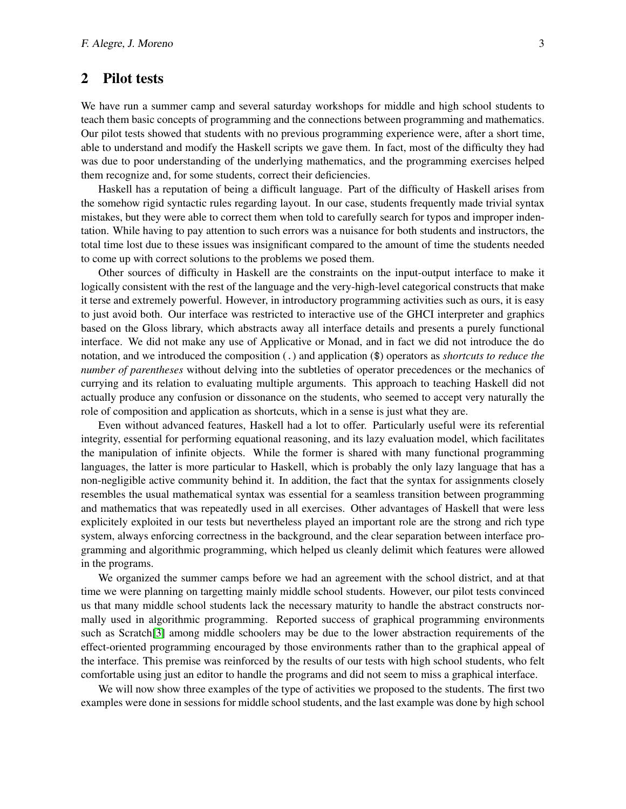#### <span id="page-2-0"></span>2 Pilot tests

We have run a summer camp and several saturday workshops for middle and high school students to teach them basic concepts of programming and the connections between programming and mathematics. Our pilot tests showed that students with no previous programming experience were, after a short time, able to understand and modify the Haskell scripts we gave them. In fact, most of the difficulty they had was due to poor understanding of the underlying mathematics, and the programming exercises helped them recognize and, for some students, correct their deficiencies.

Haskell has a reputation of being a difficult language. Part of the difficulty of Haskell arises from the somehow rigid syntactic rules regarding layout. In our case, students frequently made trivial syntax mistakes, but they were able to correct them when told to carefully search for typos and improper indentation. While having to pay attention to such errors was a nuisance for both students and instructors, the total time lost due to these issues was insignificant compared to the amount of time the students needed to come up with correct solutions to the problems we posed them.

Other sources of difficulty in Haskell are the constraints on the input-output interface to make it logically consistent with the rest of the language and the very-high-level categorical constructs that make it terse and extremely powerful. However, in introductory programming activities such as ours, it is easy to just avoid both. Our interface was restricted to interactive use of the GHCI interpreter and graphics based on the Gloss library, which abstracts away all interface details and presents a purely functional interface. We did not make any use of Applicative or Monad, and in fact we did not introduce the do notation, and we introduced the composition (.) and application (\$) operators as *shortcuts to reduce the number of parentheses* without delving into the subtleties of operator precedences or the mechanics of currying and its relation to evaluating multiple arguments. This approach to teaching Haskell did not actually produce any confusion or dissonance on the students, who seemed to accept very naturally the role of composition and application as shortcuts, which in a sense is just what they are.

Even without advanced features, Haskell had a lot to offer. Particularly useful were its referential integrity, essential for performing equational reasoning, and its lazy evaluation model, which facilitates the manipulation of infinite objects. While the former is shared with many functional programming languages, the latter is more particular to Haskell, which is probably the only lazy language that has a non-negligible active community behind it. In addition, the fact that the syntax for assignments closely resembles the usual mathematical syntax was essential for a seamless transition between programming and mathematics that was repeatedly used in all exercises. Other advantages of Haskell that were less explicitely exploited in our tests but nevertheless played an important role are the strong and rich type system, always enforcing correctness in the background, and the clear separation between interface programming and algorithmic programming, which helped us cleanly delimit which features were allowed in the programs.

We organized the summer camps before we had an agreement with the school district, and at that time we were planning on targetting mainly middle school students. However, our pilot tests convinced us that many middle school students lack the necessary maturity to handle the abstract constructs normally used in algorithmic programming. Reported success of graphical programming environments such as Scratch[\[3\]](#page-11-0) among middle schoolers may be due to the lower abstraction requirements of the effect-oriented programming encouraged by those environments rather than to the graphical appeal of the interface. This premise was reinforced by the results of our tests with high school students, who felt comfortable using just an editor to handle the programs and did not seem to miss a graphical interface.

We will now show three examples of the type of activities we proposed to the students. The first two examples were done in sessions for middle school students, and the last example was done by high school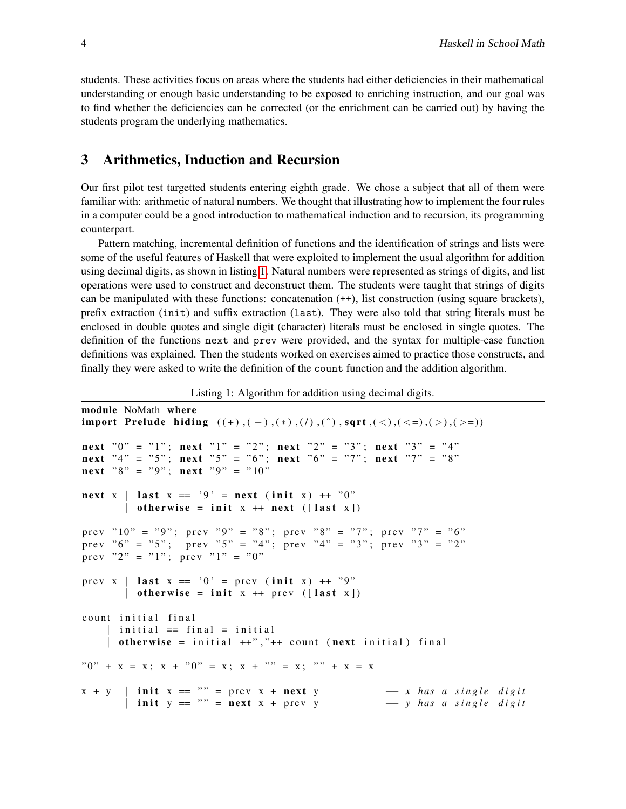students. These activities focus on areas where the students had either deficiencies in their mathematical understanding or enough basic understanding to be exposed to enriching instruction, and our goal was to find whether the deficiencies can be corrected (or the enrichment can be carried out) by having the students program the underlying mathematics.

#### <span id="page-3-0"></span>3 Arithmetics, Induction and Recursion

Our first pilot test targetted students entering eighth grade. We chose a subject that all of them were familiar with: arithmetic of natural numbers. We thought that illustrating how to implement the four rules in a computer could be a good introduction to mathematical induction and to recursion, its programming counterpart.

Pattern matching, incremental definition of functions and the identification of strings and lists were some of the useful features of Haskell that were exploited to implement the usual algorithm for addition using decimal digits, as shown in listing [1.](#page-3-1) Natural numbers were represented as strings of digits, and list operations were used to construct and deconstruct them. The students were taught that strings of digits can be manipulated with these functions: concatenation  $(++)$ , list construction (using square brackets), prefix extraction (init) and suffix extraction (last). They were also told that string literals must be enclosed in double quotes and single digit (character) literals must be enclosed in single quotes. The definition of the functions next and prev were provided, and the syntax for multiple-case function definitions was explained. Then the students worked on exercises aimed to practice those constructs, and finally they were asked to write the definition of the count function and the addition algorithm.

Listing 1: Algorithm for addition using decimal digits.

```
module NoMath where
import Prelude hiding ((+), (-), (*), ('), ('), ' , sqrt, ( \leq), ( \leq ) , ( \geq ) )n ext "0" = "1"; n ext "1" = "2"; n ext "2" = "3"; n ext "3" = "4"n ext "4" = "5"; n ext "5" = "6"; n ext "6" = "7"; n ext "7" = "8"
n ext "8" = "9"; n ext "9" = "10"
n ext x \mid l ast x == '9' =n ext (init x) ++ "0"
       | otherwise = init x + \text{next} ([last x])
prev "10" = "9"; prev "9" = "8"; prev "8" = "7"; prev "7" = "6"
prev "6" = "5"; prev "5" = "4"; prev "4" = "3"; prev "3" = "2"
prev "2" = "1"; prev "1" = "0"
prev x | last x == '0' = prev (init x) ++ ''9"| otherwise = init x + prev ([last x])
count initial final
    | initial == final = initial
    | otherwise = initial ++", "++ count (next initial) final
"0" + x = x; x + "0" = x; x + "" = x; "" + x = x
x + y | init x == "" = prev x + next y - x has a single digit| init y == "" = next x + prev y -- y has a single digit
```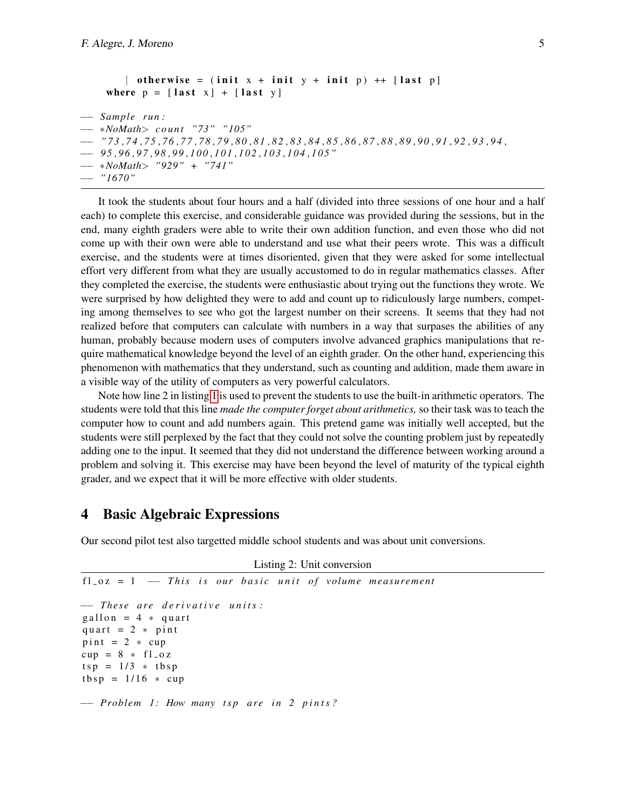```
| otherwise = (init x + init y + init p) +[last p]where p = [last x] + [last y]−− Sample r u n :
−− ∗NoMath> c o u nt "73" "105"
−− " 7 3 , 7 4 , 7 5 , 7 6 , 7 7 , 7 8 , 7 9 , 8 0 , 8 1 , 8 2 , 8 3 , 8 4 , 8 5 , 8 6 , 8 7 , 8 8 , 8 9 , 9 0 , 9 1 , 9 2 , 9 3 , 9 4 ,
−− 9 5 , 9 6 , 9 7 , 9 8 , 9 9 , 1 0 0 , 1 0 1 , 1 0 2 , 1 0 3 , 1 0 4 , 1 0 5 "
−− ∗NoMath> "929" + "741"
−− "1670"
```
It took the students about four hours and a half (divided into three sessions of one hour and a half each) to complete this exercise, and considerable guidance was provided during the sessions, but in the end, many eighth graders were able to write their own addition function, and even those who did not come up with their own were able to understand and use what their peers wrote. This was a difficult exercise, and the students were at times disoriented, given that they were asked for some intellectual effort very different from what they are usually accustomed to do in regular mathematics classes. After they completed the exercise, the students were enthusiastic about trying out the functions they wrote. We were surprised by how delighted they were to add and count up to ridiculously large numbers, competing among themselves to see who got the largest number on their screens. It seems that they had not realized before that computers can calculate with numbers in a way that surpases the abilities of any human, probably because modern uses of computers involve advanced graphics manipulations that require mathematical knowledge beyond the level of an eighth grader. On the other hand, experiencing this phenomenon with mathematics that they understand, such as counting and addition, made them aware in a visible way of the utility of computers as very powerful calculators.

Note how line 2 in listing [1](#page-3-1) is used to prevent the students to use the built-in arithmetic operators. The students were told that this line *made the computer forget about arithmetics,* so their task was to teach the computer how to count and add numbers again. This pretend game was initially well accepted, but the students were still perplexed by the fact that they could not solve the counting problem just by repeatedly adding one to the input. It seemed that they did not understand the difference between working around a problem and solving it. This exercise may have been beyond the level of maturity of the typical eighth grader, and we expect that it will be more effective with older students.

#### <span id="page-4-0"></span>4 Basic Algebraic Expressions

Our second pilot test also targetted middle school students and was about unit conversions.

```
Listing 2: Unit conversion
f1_0z = 1 - This is our basic unit of volume measurement
−− T h e s e a r e d e r i v a t i v e u n i t s :
g allon = 4 * quart
quart = 2 * pint
pi = 2 * cupcup = 8 * f1_0ztsp = 1/3 * tbsp
tbsp = 1/16 * cup−− Problem 1 : How many t s p a r e i n 2 p i n t s ?
```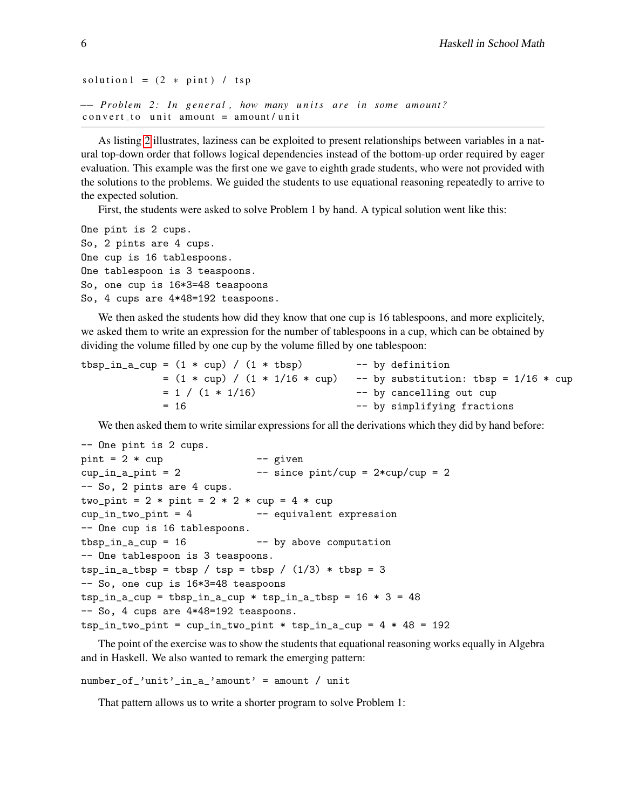```
solution 1 = (2 * point) / tsp−− Problem 2: In general, how many units are in some amount?
convert_to unit amount = amount/unit
```
As listing [2](#page-4-1) illustrates, laziness can be exploited to present relationships between variables in a natural top-down order that follows logical dependencies instead of the bottom-up order required by eager evaluation. This example was the first one we gave to eighth grade students, who were not provided with the solutions to the problems. We guided the students to use equational reasoning repeatedly to arrive to the expected solution.

First, the students were asked to solve Problem 1 by hand. A typical solution went like this:

One pint is 2 cups. So, 2 pints are 4 cups. One cup is 16 tablespoons. One tablespoon is 3 teaspoons. So, one cup is 16\*3=48 teaspoons So, 4 cups are 4\*48=192 teaspoons.

We then asked the students how did they know that one cup is 16 tablespoons, and more explicitely, we asked them to write an expression for the number of tablespoons in a cup, which can be obtained by dividing the volume filled by one cup by the volume filled by one tablespoon:

```
tbsp_in_a_cup = (1 * cup) / (1 * tbsp) -- by definition
           = (1 * cup) / (1 * 1/16 * cup) -- by substitution: tbsp = 1/16 * cup
           = 1 / (1 * 1/16) -- by cancelling out cup
           = 16 -- by simplifying fractions
```
We then asked them to write similar expressions for all the derivations which they did by hand before:

```
-- One pint is 2 cups.
pint = 2 * cup -- given
cup_in_a\_pint = 2 -- since pint/cup = 2*cup/cup = 2-- So, 2 pints are 4 cups.
two_pint = 2 * pint = 2 * 2 * cup = 4 * cupcup\_in\_two\_pint = 4 -- equivalent expression
-- One cup is 16 tablespoons.
tbsp_in_a_cup = 16 -- by above computation
-- One tablespoon is 3 teaspoons.
tsp_in_a_tbsp = tbsp / tsp = tbsp / (1/3) * tbsp = 3-- So, one cup is 16*3=48 teaspoons
tsp_in_a_cup = tbsp_in_a_cup * tsp_in_a_tbsp = 16 * 3 = 48-- So, 4 cups are 4*48=192 teaspoons.
tsp_in_two_pint = cup_in_two_pint * tsp_in_a_cup = 4 * 48 = 192
```
The point of the exercise was to show the students that equational reasoning works equally in Algebra and in Haskell. We also wanted to remark the emerging pattern:

```
number_of_'unit'_in_a_'amount' = amount / unit
```
That pattern allows us to write a shorter program to solve Problem 1: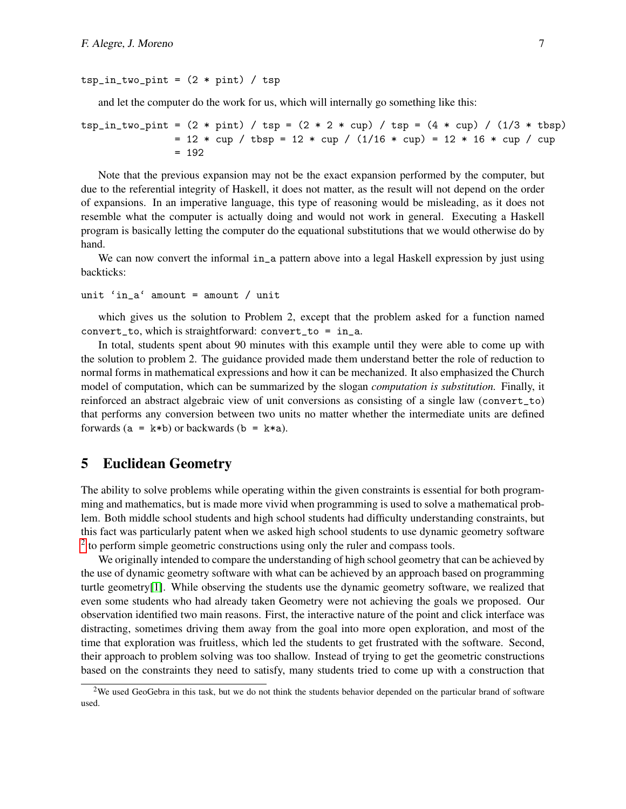#### $tsp_in_two_pint = (2 * pint) / tsp$

and let the computer do the work for us, which will internally go something like this:

```
tsp_in_two_pint = (2 * point) / tsp = (2 * 2 * cup) / tsp = (4 * cup) / (1/3 * tbsp)= 12 * cup / tbsp = 12 * cup / (1/16 * cup) = 12 * 16 * cup / cup= 192
```
Note that the previous expansion may not be the exact expansion performed by the computer, but due to the referential integrity of Haskell, it does not matter, as the result will not depend on the order of expansions. In an imperative language, this type of reasoning would be misleading, as it does not resemble what the computer is actually doing and would not work in general. Executing a Haskell program is basically letting the computer do the equational substitutions that we would otherwise do by hand.

We can now convert the informal in a pattern above into a legal Haskell expression by just using backticks:

```
unit 'in_a' amount = amount / unit
```
which gives us the solution to Problem 2, except that the problem asked for a function named convert\_to, which is straightforward: convert\_to =  $in_a$ .

In total, students spent about 90 minutes with this example until they were able to come up with the solution to problem 2. The guidance provided made them understand better the role of reduction to normal forms in mathematical expressions and how it can be mechanized. It also emphasized the Church model of computation, which can be summarized by the slogan *computation is substitution.* Finally, it reinforced an abstract algebraic view of unit conversions as consisting of a single law (convert\_to) that performs any conversion between two units no matter whether the intermediate units are defined forwards ( $a = k * b$ ) or backwards ( $b = k * a$ ).

#### <span id="page-6-0"></span>5 Euclidean Geometry

The ability to solve problems while operating within the given constraints is essential for both programming and mathematics, but is made more vivid when programming is used to solve a mathematical problem. Both middle school students and high school students had difficulty understanding constraints, but this fact was particularly patent when we asked high school students to use dynamic geometry software  $2$  to perform simple geometric constructions using only the ruler and compass tools.

We originally intended to compare the understanding of high school geometry that can be achieved by the use of dynamic geometry software with what can be achieved by an approach based on programming turtle geometry[\[1\]](#page-11-1). While observing the students use the dynamic geometry software, we realized that even some students who had already taken Geometry were not achieving the goals we proposed. Our observation identified two main reasons. First, the interactive nature of the point and click interface was distracting, sometimes driving them away from the goal into more open exploration, and most of the time that exploration was fruitless, which led the students to get frustrated with the software. Second, their approach to problem solving was too shallow. Instead of trying to get the geometric constructions based on the constraints they need to satisfy, many students tried to come up with a construction that

<span id="page-6-1"></span> $2$ We used GeoGebra in this task, but we do not think the students behavior depended on the particular brand of software used.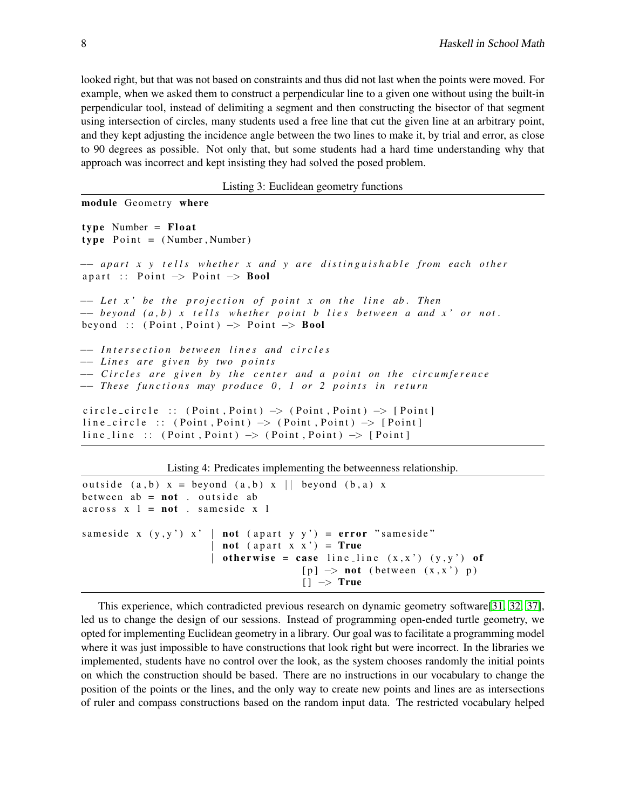looked right, but that was not based on constraints and thus did not last when the points were moved. For example, when we asked them to construct a perpendicular line to a given one without using the built-in perpendicular tool, instead of delimiting a segment and then constructing the bisector of that segment using intersection of circles, many students used a free line that cut the given line at an arbitrary point, and they kept adjusting the incidence angle between the two lines to make it, by trial and error, as close to 90 degrees as possible. Not only that, but some students had a hard time understanding why that approach was incorrect and kept insisting they had solved the posed problem.

Listing 3: Euclidean geometry functions

```
module Geometry where
type Number = Float
type Point = (Number, Number)
−− a p a r t x y t e l l s w h et h e r x and y a r e d i s t i n g u i s h a b l e f r om e ac h o t h e r
apart :: Point \rightarrow Point \rightarrow Bool−− Let x' be the projection of point x on the line ab. Then
−− bey o n d ( a , b ) x t e l l s w h et h e r p o i n t b l i e s b etw e e n a and x ' o r n ot .
beyond :: (Point, Point) \rightarrow Point \rightarrow Bool−− I n t e r s e c t i o n b etw e e n l i n e s and c i r c l e s
−− L i n e s a r e g i v e n by two p o i n t s
−− Circles are given by the center and a point on the circumference
−− These functions may produce 0, 1 or 2 points in return
circle_circle :: (Point, Point) \rightarrow (Point, Point) \rightarrow [Point]
line_circle :: (Point, Point) \rightarrow (Point, Point) \rightarrow [Point]
line_line :: (Point, Point) \rightarrow (Point, Point) \rightarrow [Point]
```
Listing 4: Predicates implementing the betweenness relationship.

```
outside (a, b) x = beyond (a, b) x | | beyond (b, a) x
between ab = not. outside ab
across x 1 = not . same side x 1same side x (y, y') x' | not (apart y y') = error "same side"
                           not (apart x \times y' = Trueotherwise = case line_line (x, x') (y, y') of
                                          [p] \rightarrow \text{not} (between (x, x') p)
                                           | \cdot | \cdot \rangle True
```
This experience, which contradicted previous research on dynamic geometry software[\[31,](#page-12-0) [32,](#page-13-0) [37\]](#page-13-1), led us to change the design of our sessions. Instead of programming open-ended turtle geometry, we opted for implementing Euclidean geometry in a library. Our goal was to facilitate a programming model where it was just impossible to have constructions that look right but were incorrect. In the libraries we implemented, students have no control over the look, as the system chooses randomly the initial points on which the construction should be based. There are no instructions in our vocabulary to change the position of the points or the lines, and the only way to create new points and lines are as intersections of ruler and compass constructions based on the random input data. The restricted vocabulary helped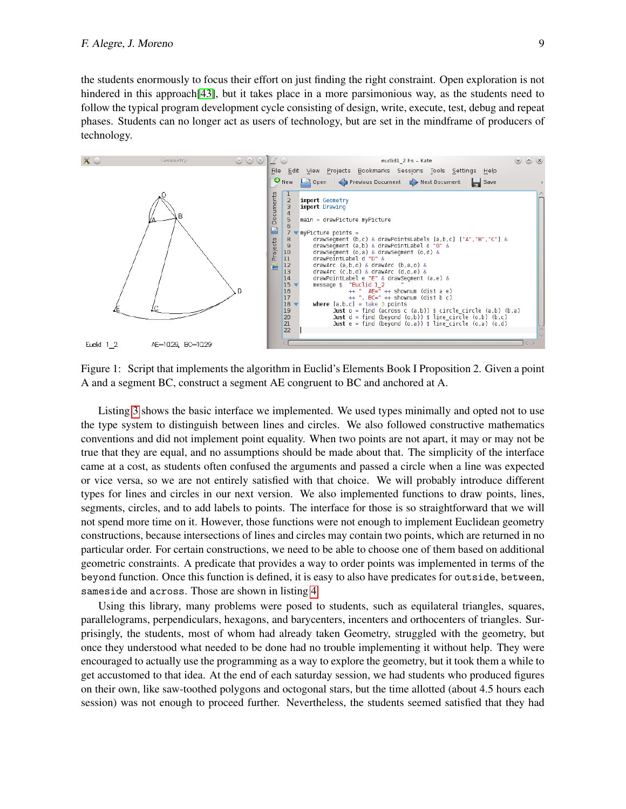the students enormously to focus their effort on just finding the right constraint. Open exploration is not hindered in this approach [\[43\]](#page-13-2), but it takes place in a more parsimonious way, as the students need to follow the typical program development cycle consisting of design, write, execute, test, debug and repeat phases. Students can no longer act as users of technology, but are set in the mindframe of producers of technology.



<span id="page-8-0"></span>

Listing [3](#page-7-0) shows the basic interface we implemented. We used types minimally and opted not to use the type system to distinguish between lines and circles. We also followed constructive mathematics conventions and did not implement point equality. When two points are not apart, it may or may not be true that they are equal, and no assumptions should be made about that. The simplicity of the interface came at a cost, as students often confused the arguments and passed a circle when a line was expected or vice versa, so we are not entirely satisfied with that choice. We will probably introduce different types for lines and circles in our next version. We also implemented functions to draw points, lines, segments, circles, and to add labels to points. The interface for those is so straightforward that we will not spend more time on it. However, those functions were not enough to implement Euclidean geometry constructions, because intersections of lines and circles may contain two points, which are returned in no particular order. For certain constructions, we need to be able to choose one of them based on additional geometric constraints. A predicate that provides a way to order points was implemented in terms of the beyond function. Once this function is defined, it is easy to also have predicates for outside, between, sameside and across. Those are shown in listing [4.](#page-7-1)

Using this library, many problems were posed to students, such as equilateral triangles, squares, parallelograms, perpendiculars, hexagons, and barycenters, incenters and orthocenters of triangles. Surprisingly, the students, most of whom had already taken Geometry, struggled with the geometry, but once they understood what needed to be done had no trouble implementing it without help. They were encouraged to actually use the programming as a way to explore the geometry, but it took them a while to get accustomed to that idea. At the end of each saturday session, we had students who produced figures on their own, like saw-toothed polygons and octogonal stars, but the time allotted (about 4.5 hours each session) was not enough to proceed further. Nevertheless, the students seemed satisfied that they had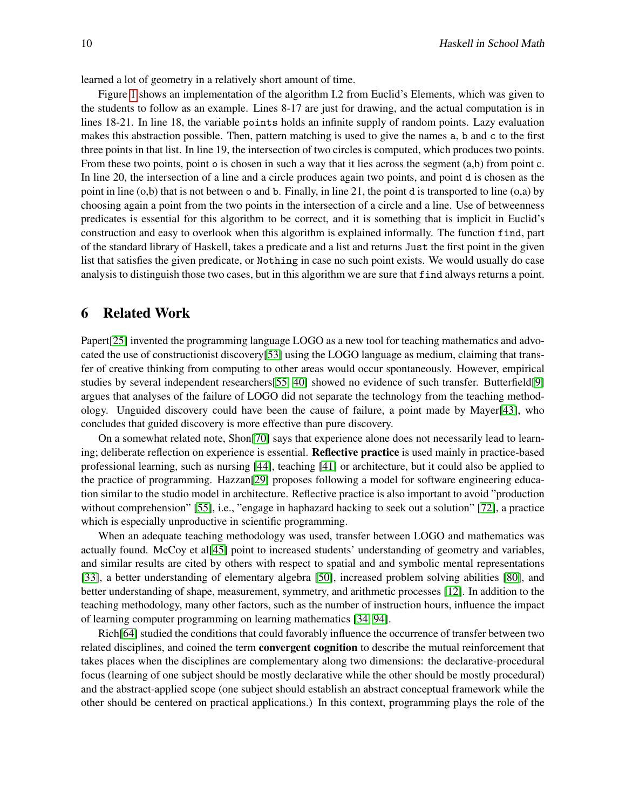learned a lot of geometry in a relatively short amount of time.

Figure [1](#page-8-0) shows an implementation of the algorithm I.2 from Euclid's Elements, which was given to the students to follow as an example. Lines 8-17 are just for drawing, and the actual computation is in lines 18-21. In line 18, the variable points holds an infinite supply of random points. Lazy evaluation makes this abstraction possible. Then, pattern matching is used to give the names a, b and c to the first three points in that list. In line 19, the intersection of two circles is computed, which produces two points. From these two points, point o is chosen in such a way that it lies across the segment (a,b) from point c. In line 20, the intersection of a line and a circle produces again two points, and point d is chosen as the point in line  $(o,b)$  that is not between o and b. Finally, in line 21, the point d is transported to line  $(o,a)$  by choosing again a point from the two points in the intersection of a circle and a line. Use of betweenness predicates is essential for this algorithm to be correct, and it is something that is implicit in Euclid's construction and easy to overlook when this algorithm is explained informally. The function find, part of the standard library of Haskell, takes a predicate and a list and returns Just the first point in the given list that satisfies the given predicate, or Nothing in case no such point exists. We would usually do case analysis to distinguish those two cases, but in this algorithm we are sure that find always returns a point.

#### <span id="page-9-0"></span>6 Related Work

Papert[\[25\]](#page-12-1) invented the programming language LOGO as a new tool for teaching mathematics and advocated the use of constructionist discovery[\[53\]](#page-14-1) using the LOGO language as medium, claiming that transfer of creative thinking from computing to other areas would occur spontaneously. However, empirical studies by several independent researchers[\[55,](#page-14-2) [40\]](#page-13-3) showed no evidence of such transfer. Butterfield[\[9\]](#page-12-2) argues that analyses of the failure of LOGO did not separate the technology from the teaching methodology. Unguided discovery could have been the cause of failure, a point made by Mayer[\[43\]](#page-13-2), who concludes that guided discovery is more effective than pure discovery.

On a somewhat related note, Shon[\[70\]](#page-14-3) says that experience alone does not necessarily lead to learning; deliberate reflection on experience is essential. **Reflective practice** is used mainly in practice-based professional learning, such as nursing [\[44\]](#page-13-4), teaching [\[41\]](#page-13-5) or architecture, but it could also be applied to the practice of programming. Hazzan[\[29\]](#page-12-3) proposes following a model for software engineering education similar to the studio model in architecture. Reflective practice is also important to avoid "production without comprehension" [\[55\]](#page-14-2), i.e., "engage in haphazard hacking to seek out a solution" [\[72\]](#page-15-1), a practice which is especially unproductive in scientific programming.

When an adequate teaching methodology was used, transfer between LOGO and mathematics was actually found. McCoy et al[\[45\]](#page-13-6) point to increased students' understanding of geometry and variables, and similar results are cited by others with respect to spatial and and symbolic mental representations [\[33\]](#page-13-7), a better understanding of elementary algebra [\[50\]](#page-13-8), increased problem solving abilities [\[80\]](#page-15-2), and better understanding of shape, measurement, symmetry, and arithmetic processes [\[12\]](#page-12-4). In addition to the teaching methodology, many other factors, such as the number of instruction hours, influence the impact of learning computer programming on learning mathematics [\[34,](#page-13-9) [94\]](#page-15-3).

Rich[\[64\]](#page-14-4) studied the conditions that could favorably influence the occurrence of transfer between two related disciplines, and coined the term convergent cognition to describe the mutual reinforcement that takes places when the disciplines are complementary along two dimensions: the declarative-procedural focus (learning of one subject should be mostly declarative while the other should be mostly procedural) and the abstract-applied scope (one subject should establish an abstract conceptual framework while the other should be centered on practical applications.) In this context, programming plays the role of the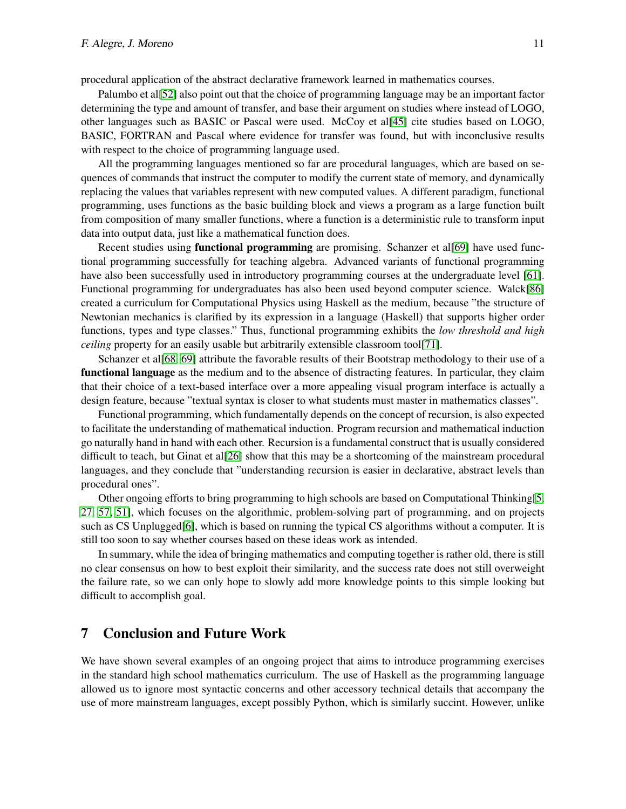procedural application of the abstract declarative framework learned in mathematics courses.

Palumbo et al[\[52\]](#page-14-5) also point out that the choice of programming language may be an important factor determining the type and amount of transfer, and base their argument on studies where instead of LOGO, other languages such as BASIC or Pascal were used. McCoy et al[\[45\]](#page-13-6) cite studies based on LOGO, BASIC, FORTRAN and Pascal where evidence for transfer was found, but with inconclusive results with respect to the choice of programming language used.

All the programming languages mentioned so far are procedural languages, which are based on sequences of commands that instruct the computer to modify the current state of memory, and dynamically replacing the values that variables represent with new computed values. A different paradigm, functional programming, uses functions as the basic building block and views a program as a large function built from composition of many smaller functions, where a function is a deterministic rule to transform input data into output data, just like a mathematical function does.

Recent studies using **functional programming** are promising. Schanzer et al[\[69\]](#page-14-6) have used functional programming successfully for teaching algebra. Advanced variants of functional programming have also been successfully used in introductory programming courses at the undergraduate level [\[61\]](#page-14-7). Functional programming for undergraduates has also been used beyond computer science. Walck[\[86\]](#page-15-4) created a curriculum for Computational Physics using Haskell as the medium, because "the structure of Newtonian mechanics is clarified by its expression in a language (Haskell) that supports higher order functions, types and type classes." Thus, functional programming exhibits the *low threshold and high ceiling* property for an easily usable but arbitrarily extensible classroom tool[\[71\]](#page-14-8).

Schanzer et al[\[68,](#page-14-9) [69\]](#page-14-6) attribute the favorable results of their Bootstrap methodology to their use of a functional language as the medium and to the absence of distracting features. In particular, they claim that their choice of a text-based interface over a more appealing visual program interface is actually a design feature, because "textual syntax is closer to what students must master in mathematics classes".

Functional programming, which fundamentally depends on the concept of recursion, is also expected to facilitate the understanding of mathematical induction. Program recursion and mathematical induction go naturally hand in hand with each other. Recursion is a fundamental construct that is usually considered difficult to teach, but Ginat et al<sup>[\[26\]](#page-12-5)</sup> show that this may be a shortcoming of the mainstream procedural languages, and they conclude that "understanding recursion is easier in declarative, abstract levels than procedural ones".

Other ongoing efforts to bring programming to high schools are based on Computational Thinking[\[5,](#page-11-2) [27,](#page-12-6) [57,](#page-14-10) [51\]](#page-14-11), which focuses on the algorithmic, problem-solving part of programming, and on projects such as CS Unplugged[\[6\]](#page-11-3), which is based on running the typical CS algorithms without a computer. It is still too soon to say whether courses based on these ideas work as intended.

In summary, while the idea of bringing mathematics and computing together is rather old, there is still no clear consensus on how to best exploit their similarity, and the success rate does not still overweight the failure rate, so we can only hope to slowly add more knowledge points to this simple looking but difficult to accomplish goal.

### <span id="page-10-0"></span>7 Conclusion and Future Work

We have shown several examples of an ongoing project that aims to introduce programming exercises in the standard high school mathematics curriculum. The use of Haskell as the programming language allowed us to ignore most syntactic concerns and other accessory technical details that accompany the use of more mainstream languages, except possibly Python, which is similarly succint. However, unlike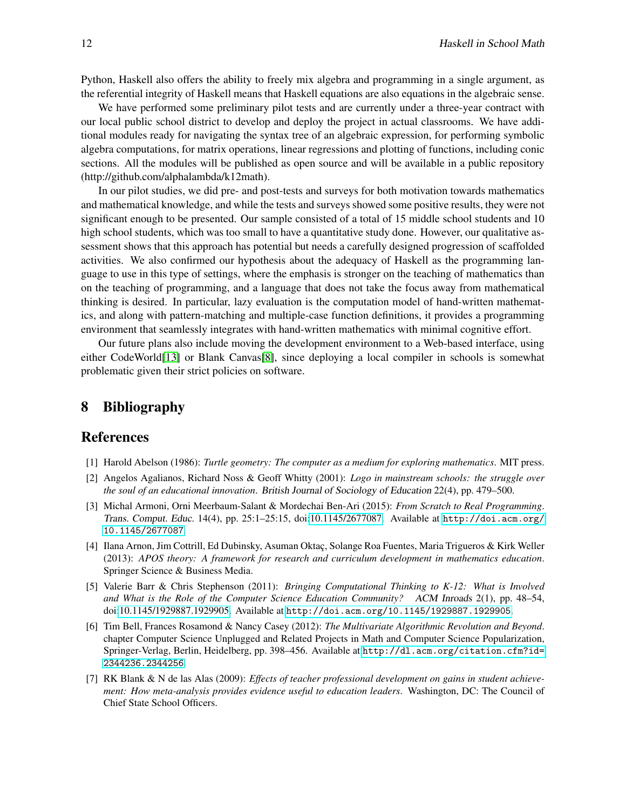Python, Haskell also offers the ability to freely mix algebra and programming in a single argument, as the referential integrity of Haskell means that Haskell equations are also equations in the algebraic sense.

We have performed some preliminary pilot tests and are currently under a three-year contract with our local public school district to develop and deploy the project in actual classrooms. We have additional modules ready for navigating the syntax tree of an algebraic expression, for performing symbolic algebra computations, for matrix operations, linear regressions and plotting of functions, including conic sections. All the modules will be published as open source and will be available in a public repository (http://github.com/alphalambda/k12math).

In our pilot studies, we did pre- and post-tests and surveys for both motivation towards mathematics and mathematical knowledge, and while the tests and surveys showed some positive results, they were not significant enough to be presented. Our sample consisted of a total of 15 middle school students and 10 high school students, which was too small to have a quantitative study done. However, our qualitative assessment shows that this approach has potential but needs a carefully designed progression of scaffolded activities. We also confirmed our hypothesis about the adequacy of Haskell as the programming language to use in this type of settings, where the emphasis is stronger on the teaching of mathematics than on the teaching of programming, and a language that does not take the focus away from mathematical thinking is desired. In particular, lazy evaluation is the computation model of hand-written mathematics, and along with pattern-matching and multiple-case function definitions, it provides a programming environment that seamlessly integrates with hand-written mathematics with minimal cognitive effort.

Our future plans also include moving the development environment to a Web-based interface, using either CodeWorld[\[13\]](#page-12-7) or Blank Canvas[\[8\]](#page-12-8), since deploying a local compiler in schools is somewhat problematic given their strict policies on software.

### 8 Bibliography

#### References

- <span id="page-11-1"></span>[1] Harold Abelson (1986): *Turtle geometry: The computer as a medium for exploring mathematics*. MIT press.
- [2] Angelos Agalianos, Richard Noss & Geoff Whitty (2001): *Logo in mainstream schools: the struggle over the soul of an educational innovation*. British Journal of Sociology of Education 22(4), pp. 479–500.
- <span id="page-11-0"></span>[3] Michal Armoni, Orni Meerbaum-Salant & Mordechai Ben-Ari (2015): *From Scratch to Real Programming*. Trans. Comput. Educ. 14(4), pp. 25:1–25:15, doi[:10.1145/2677087.](http://dx.doi.org/10.1145/2677087) Available at [http://doi.acm.org/](http://doi.acm.org/10.1145/2677087) [10.1145/2677087](http://doi.acm.org/10.1145/2677087).
- [4] Ilana Arnon, Jim Cottrill, Ed Dubinsky, Asuman Oktac, Solange Roa Fuentes, Maria Trigueros & Kirk Weller (2013): *APOS theory: A framework for research and curriculum development in mathematics education*. Springer Science & Business Media.
- <span id="page-11-2"></span>[5] Valerie Barr & Chris Stephenson (2011): *Bringing Computational Thinking to K-12: What is Involved and What is the Role of the Computer Science Education Community?* ACM Inroads 2(1), pp. 48–54, doi[:10.1145/1929887.1929905.](http://dx.doi.org/10.1145/1929887.1929905) Available at <http://doi.acm.org/10.1145/1929887.1929905>.
- <span id="page-11-3"></span>[6] Tim Bell, Frances Rosamond & Nancy Casey (2012): *The Multivariate Algorithmic Revolution and Beyond*. chapter Computer Science Unplugged and Related Projects in Math and Computer Science Popularization, Springer-Verlag, Berlin, Heidelberg, pp. 398–456. Available at [http://dl.acm.org/citation.cfm?id=](http://dl.acm.org/citation.cfm?id=2344236.2344256) [2344236.2344256](http://dl.acm.org/citation.cfm?id=2344236.2344256).
- [7] RK Blank & N de las Alas (2009): *Effects of teacher professional development on gains in student achievement: How meta-analysis provides evidence useful to education leaders*. Washington, DC: The Council of Chief State School Officers.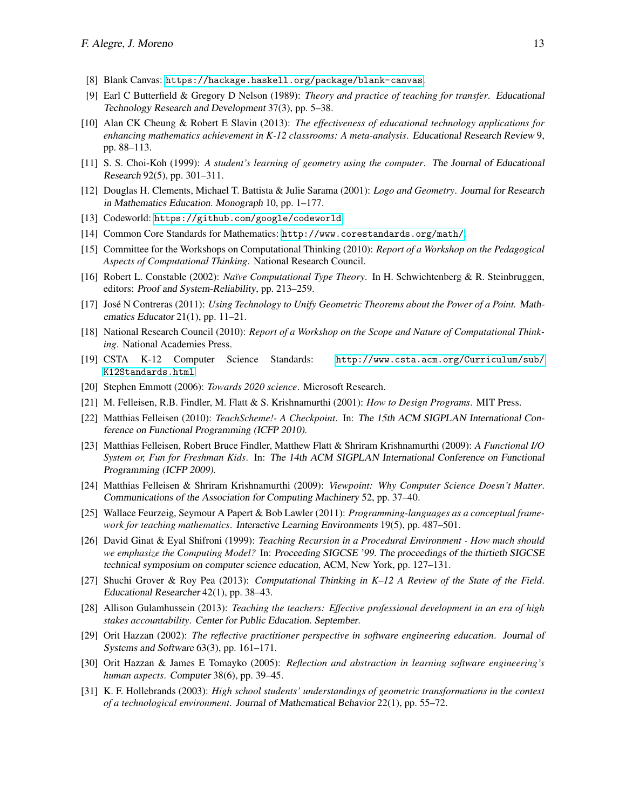- <span id="page-12-8"></span>[8] Blank Canvas: <https://hackage.haskell.org/package/blank-canvas>.
- <span id="page-12-2"></span>[9] Earl C Butterfield & Gregory D Nelson (1989): *Theory and practice of teaching for transfer*. Educational Technology Research and Development 37(3), pp. 5–38.
- [10] Alan CK Cheung & Robert E Slavin (2013): *The effectiveness of educational technology applications for enhancing mathematics achievement in K-12 classrooms: A meta-analysis*. Educational Research Review 9, pp. 88–113.
- [11] S. S. Choi-Koh (1999): *A student's learning of geometry using the computer*. The Journal of Educational Research 92(5), pp. 301–311.
- <span id="page-12-4"></span>[12] Douglas H. Clements, Michael T. Battista & Julie Sarama (2001): *Logo and Geometry*. Journal for Research in Mathematics Education. Monograph 10, pp. 1–177.
- <span id="page-12-7"></span>[13] Codeworld: <https://github.com/google/codeworld>.
- [14] Common Core Standards for Mathematics: <http://www.corestandards.org/math/>.
- [15] Committee for the Workshops on Computational Thinking (2010): *Report of a Workshop on the Pedagogical Aspects of Computational Thinking*. National Research Council.
- [16] Robert L. Constable (2002): *Na¨ıve Computational Type Theory*. In H. Schwichtenberg & R. Steinbruggen, editors: Proof and System-Reliability, pp. 213–259.
- [17] José N Contreras (2011): *Using Technology to Unify Geometric Theorems about the Power of a Point.* Mathematics Educator 21(1), pp. 11–21.
- [18] National Research Council (2010): *Report of a Workshop on the Scope and Nature of Computational Thinking*. National Academies Press.
- [19] CSTA K-12 Computer Science Standards: [http://www.csta.acm.org/Curriculum/sub/](http://www.csta.acm.org/Curriculum/sub/K12Standards.html) [K12Standards.html](http://www.csta.acm.org/Curriculum/sub/K12Standards.html).
- [20] Stephen Emmott (2006): *Towards 2020 science*. Microsoft Research.
- [21] M. Felleisen, R.B. Findler, M. Flatt & S. Krishnamurthi (2001): *How to Design Programs*. MIT Press.
- [22] Matthias Felleisen (2010): *TeachScheme!- A Checkpoint*. In: The 15th ACM SIGPLAN International Conference on Functional Programming (ICFP 2010).
- [23] Matthias Felleisen, Robert Bruce Findler, Matthew Flatt & Shriram Krishnamurthi (2009): *A Functional I/O System or, Fun for Freshman Kids*. In: The 14th ACM SIGPLAN International Conference on Functional Programming (ICFP 2009).
- [24] Matthias Felleisen & Shriram Krishnamurthi (2009): *Viewpoint: Why Computer Science Doesn't Matter*. Communications of the Association for Computing Machinery 52, pp. 37–40.
- <span id="page-12-1"></span>[25] Wallace Feurzeig, Seymour A Papert & Bob Lawler (2011): *Programming-languages as a conceptual framework for teaching mathematics*. Interactive Learning Environments 19(5), pp. 487–501.
- <span id="page-12-5"></span>[26] David Ginat & Eyal Shifroni (1999): *Teaching Recursion in a Procedural Environment - How much should we emphasize the Computing Model?* In: Proceeding SIGCSE '99. The proceedings of the thirtieth SIGCSE technical symposium on computer science education, ACM, New York, pp. 127–131.
- <span id="page-12-6"></span>[27] Shuchi Grover & Roy Pea (2013): *Computational Thinking in K–12 A Review of the State of the Field*. Educational Researcher 42(1), pp. 38–43.
- [28] Allison Gulamhussein (2013): *Teaching the teachers: Effective professional development in an era of high stakes accountability*. Center for Public Education. September.
- <span id="page-12-3"></span>[29] Orit Hazzan (2002): *The reflective practitioner perspective in software engineering education*. Journal of Systems and Software 63(3), pp. 161–171.
- [30] Orit Hazzan & James E Tomayko (2005): *Reflection and abstraction in learning software engineering's human aspects*. Computer 38(6), pp. 39–45.
- <span id="page-12-0"></span>[31] K. F. Hollebrands (2003): *High school students' understandings of geometric transformations in the context of a technological environment*. Journal of Mathematical Behavior 22(1), pp. 55–72.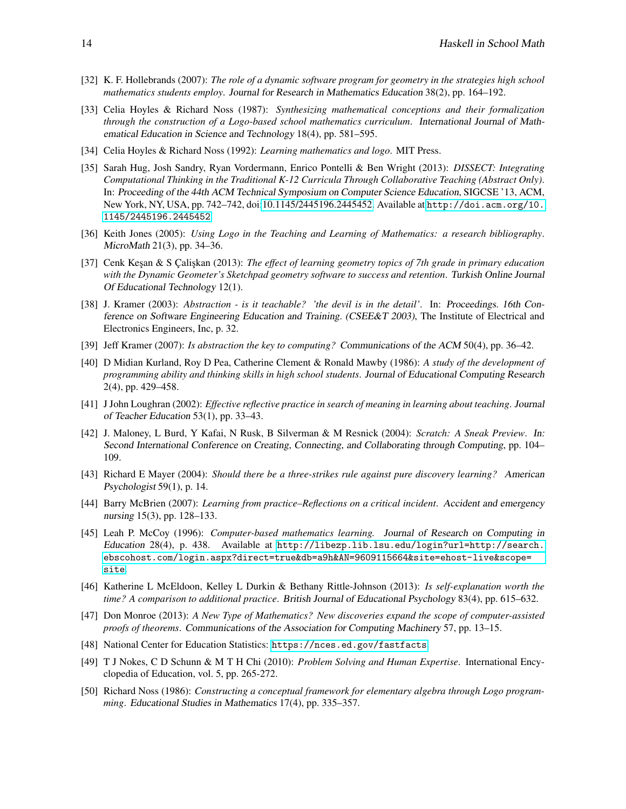- <span id="page-13-0"></span>[32] K. F. Hollebrands (2007): *The role of a dynamic software program for geometry in the strategies high school mathematics students employ*. Journal for Research in Mathematics Education 38(2), pp. 164–192.
- <span id="page-13-7"></span>[33] Celia Hoyles & Richard Noss (1987): *Synthesizing mathematical conceptions and their formalization through the construction of a Logo-based school mathematics curriculum*. International Journal of Mathematical Education in Science and Technology 18(4), pp. 581–595.
- <span id="page-13-9"></span>[34] Celia Hoyles & Richard Noss (1992): *Learning mathematics and logo*. MIT Press.
- [35] Sarah Hug, Josh Sandry, Ryan Vordermann, Enrico Pontelli & Ben Wright (2013): *DISSECT: Integrating Computational Thinking in the Traditional K-12 Curricula Through Collaborative Teaching (Abstract Only)*. In: Proceeding of the 44th ACM Technical Symposium on Computer Science Education, SIGCSE '13, ACM, New York, NY, USA, pp. 742–742, doi[:10.1145/2445196.2445452.](http://dx.doi.org/10.1145/2445196.2445452) Available at [http://doi.acm.org/10.](http://doi.acm.org/10.1145/2445196.2445452) [1145/2445196.2445452](http://doi.acm.org/10.1145/2445196.2445452).
- [36] Keith Jones (2005): *Using Logo in the Teaching and Learning of Mathematics: a research bibliography*. MicroMath 21(3), pp. 34–36.
- <span id="page-13-1"></span>[37] Cenk Kesan & S Caliskan (2013): *The effect of learning geometry topics of 7th grade in primary education with the Dynamic Geometer's Sketchpad geometry software to success and retention*. Turkish Online Journal Of Educational Technology 12(1).
- [38] J. Kramer (2003): *Abstraction is it teachable? 'the devil is in the detail'*. In: Proceedings. 16th Conference on Software Engineering Education and Training. (CSEE&T 2003), The Institute of Electrical and Electronics Engineers, Inc, p. 32.
- [39] Jeff Kramer (2007): *Is abstraction the key to computing?* Communications of the ACM 50(4), pp. 36–42.
- <span id="page-13-3"></span>[40] D Midian Kurland, Roy D Pea, Catherine Clement & Ronald Mawby (1986): *A study of the development of programming ability and thinking skills in high school students*. Journal of Educational Computing Research 2(4), pp. 429–458.
- <span id="page-13-5"></span>[41] J John Loughran (2002): *Effective reflective practice in search of meaning in learning about teaching*. Journal of Teacher Education 53(1), pp. 33–43.
- [42] J. Maloney, L Burd, Y Kafai, N Rusk, B Silverman & M Resnick (2004): *Scratch: A Sneak Preview*. In: Second International Conference on Creating, Connecting, and Collaborating through Computing, pp. 104– 109.
- <span id="page-13-2"></span>[43] Richard E Mayer (2004): *Should there be a three-strikes rule against pure discovery learning?* American Psychologist 59(1), p. 14.
- <span id="page-13-4"></span>[44] Barry McBrien (2007): *Learning from practice–Reflections on a critical incident*. Accident and emergency nursing 15(3), pp. 128–133.
- <span id="page-13-6"></span>[45] Leah P. McCoy (1996): *Computer-based mathematics learning.* Journal of Research on Computing in Education 28(4), p. 438. Available at [http://libezp.lib.lsu.edu/login?url=http://search.](http://libezp.lib.lsu.edu/login?url=http://search.ebscohost.com/login.aspx?direct=true&db=a9h&AN=9609115664&site=ehost-live&scope=site) [ebscohost.com/login.aspx?direct=true&db=a9h&AN=9609115664&site=ehost-live&scope=](http://libezp.lib.lsu.edu/login?url=http://search.ebscohost.com/login.aspx?direct=true&db=a9h&AN=9609115664&site=ehost-live&scope=site) [site](http://libezp.lib.lsu.edu/login?url=http://search.ebscohost.com/login.aspx?direct=true&db=a9h&AN=9609115664&site=ehost-live&scope=site).
- [46] Katherine L McEldoon, Kelley L Durkin & Bethany Rittle-Johnson (2013): *Is self-explanation worth the time? A comparison to additional practice*. British Journal of Educational Psychology 83(4), pp. 615–632.
- [47] Don Monroe (2013): *A New Type of Mathematics? New discoveries expand the scope of computer-assisted proofs of theorems*. Communications of the Association for Computing Machinery 57, pp. 13–15.
- [48] National Center for Education Statistics: <https://nces.ed.gov/fastfacts>.
- [49] T J Nokes, C D Schunn & M T H Chi (2010): *Problem Solving and Human Expertise*. International Encyclopedia of Education, vol. 5, pp. 265-272.
- <span id="page-13-8"></span>[50] Richard Noss (1986): *Constructing a conceptual framework for elementary algebra through Logo programming*. Educational Studies in Mathematics 17(4), pp. 335–357.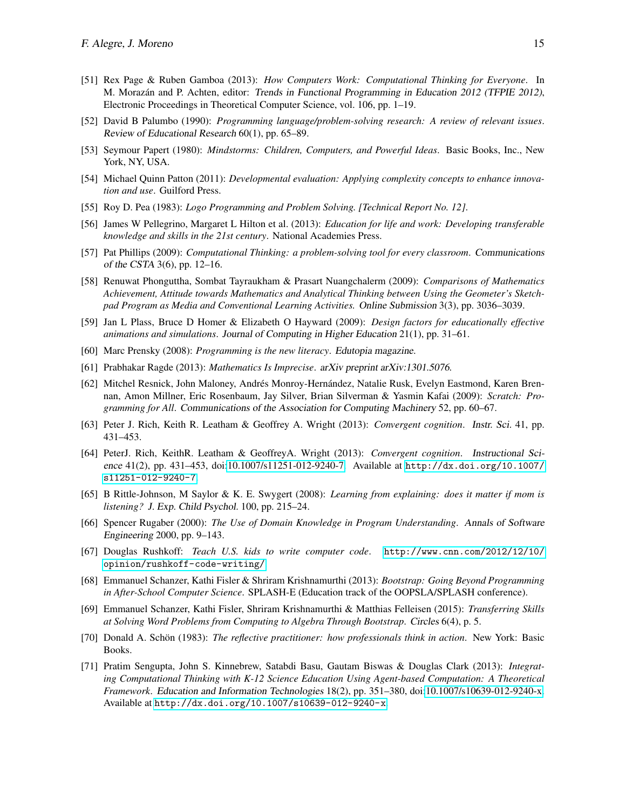- <span id="page-14-11"></span>[51] Rex Page & Ruben Gamboa (2013): *How Computers Work: Computational Thinking for Everyone*. In M. Morazán and P. Achten, editor: *Trends in Functional Programming in Education 2012 (TFPIE 2012)*, Electronic Proceedings in Theoretical Computer Science, vol. 106, pp. 1–19.
- <span id="page-14-5"></span>[52] David B Palumbo (1990): *Programming language/problem-solving research: A review of relevant issues*. Review of Educational Research 60(1), pp. 65–89.
- <span id="page-14-1"></span>[53] Seymour Papert (1980): *Mindstorms: Children, Computers, and Powerful Ideas*. Basic Books, Inc., New York, NY, USA.
- [54] Michael Quinn Patton (2011): *Developmental evaluation: Applying complexity concepts to enhance innovation and use*. Guilford Press.
- <span id="page-14-2"></span>[55] Roy D. Pea (1983): *Logo Programming and Problem Solving. [Technical Report No. 12]*.
- [56] James W Pellegrino, Margaret L Hilton et al. (2013): *Education for life and work: Developing transferable knowledge and skills in the 21st century*. National Academies Press.
- <span id="page-14-10"></span>[57] Pat Phillips (2009): *Computational Thinking: a problem-solving tool for every classroom*. Communications of the CSTA 3(6), pp. 12–16.
- [58] Renuwat Phonguttha, Sombat Tayraukham & Prasart Nuangchalerm (2009): *Comparisons of Mathematics Achievement, Attitude towards Mathematics and Analytical Thinking between Using the Geometer's Sketchpad Program as Media and Conventional Learning Activities.* Online Submission 3(3), pp. 3036–3039.
- [59] Jan L Plass, Bruce D Homer & Elizabeth O Hayward (2009): *Design factors for educationally effective animations and simulations*. Journal of Computing in Higher Education 21(1), pp. 31–61.
- <span id="page-14-0"></span>[60] Marc Prensky (2008): *Programming is the new literacy*. Edutopia magazine.
- <span id="page-14-7"></span>[61] Prabhakar Ragde (2013): *Mathematics Is Imprecise*. arXiv preprint arXiv:1301.5076.
- [62] Mitchel Resnick, John Maloney, Andrés Monroy-Hernández, Natalie Rusk, Evelyn Eastmond, Karen Brennan, Amon Millner, Eric Rosenbaum, Jay Silver, Brian Silverman & Yasmin Kafai (2009): *Scratch: Programming for All*. Communications of the Association for Computing Machinery 52, pp. 60–67.
- [63] Peter J. Rich, Keith R. Leatham & Geoffrey A. Wright (2013): *Convergent cognition*. Instr. Sci. 41, pp. 431–453.
- <span id="page-14-4"></span>[64] PeterJ. Rich, KeithR. Leatham & GeoffreyA. Wright (2013): *Convergent cognition*. Instructional Science 41(2), pp. 431–453, doi[:10.1007/s11251-012-9240-7.](http://dx.doi.org/10.1007/s11251-012-9240-7) Available at [http://dx.doi.org/10.1007/](http://dx.doi.org/10.1007/s11251-012-9240-7) [s11251-012-9240-7](http://dx.doi.org/10.1007/s11251-012-9240-7).
- [65] B Rittle-Johnson, M Saylor & K. E. Swygert (2008): *Learning from explaining: does it matter if mom is listening?* J. Exp. Child Psychol. 100, pp. 215–24.
- [66] Spencer Rugaber (2000): *The Use of Domain Knowledge in Program Understanding*. Annals of Software Engineering 2000, pp. 9–143.
- [67] Douglas Rushkoff: *Teach U.S. kids to write computer code*. [http://www.cnn.com/2012/12/10/](http://www.cnn.com/2012/12/10/opinion/rushkoff-code-writing/) [opinion/rushkoff-code-writing/](http://www.cnn.com/2012/12/10/opinion/rushkoff-code-writing/).
- <span id="page-14-9"></span>[68] Emmanuel Schanzer, Kathi Fisler & Shriram Krishnamurthi (2013): *Bootstrap: Going Beyond Programming in After-School Computer Science*. SPLASH-E (Education track of the OOPSLA/SPLASH conference).
- <span id="page-14-6"></span>[69] Emmanuel Schanzer, Kathi Fisler, Shriram Krishnamurthi & Matthias Felleisen (2015): *Transferring Skills at Solving Word Problems from Computing to Algebra Through Bootstrap*. Circles 6(4), p. 5.
- <span id="page-14-3"></span>[70] Donald A. Schön (1983): *The reflective practitioner: how professionals think in action*. New York: Basic Books.
- <span id="page-14-8"></span>[71] Pratim Sengupta, John S. Kinnebrew, Satabdi Basu, Gautam Biswas & Douglas Clark (2013): *Integrating Computational Thinking with K-12 Science Education Using Agent-based Computation: A Theoretical Framework*. Education and Information Technologies 18(2), pp. 351–380, doi[:10.1007/s10639-012-9240-x.](http://dx.doi.org/10.1007/s10639-012-9240-x) Available at <http://dx.doi.org/10.1007/s10639-012-9240-x>.